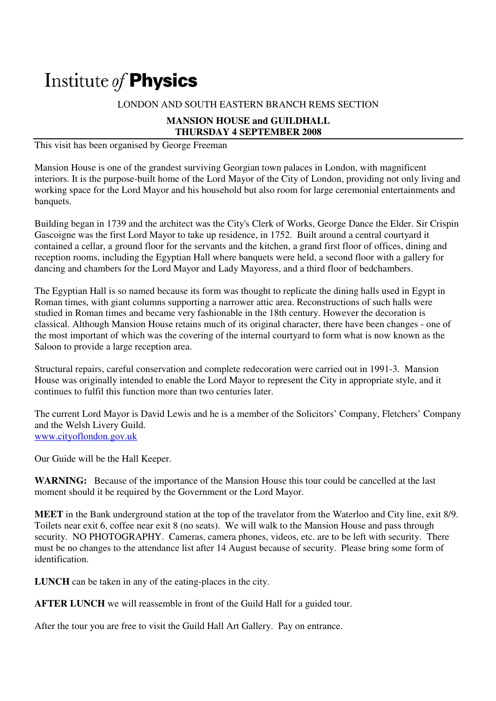## Institute of **Physics**

## LONDON AND SOUTH EASTERN BRANCH REMS SECTION

## **MANSION HOUSE and GUILDHALL THURSDAY 4 SEPTEMBER 2008**

This visit has been organised by George Freeman

Mansion House is one of the grandest surviving Georgian town palaces in London, with magnificent interiors. It is the purpose-built home of the Lord Mayor of the City of London, providing not only living and working space for the Lord Mayor and his household but also room for large ceremonial entertainments and banquets.

Building began in 1739 and the architect was the City's Clerk of Works, George Dance the Elder. Sir Crispin Gascoigne was the first Lord Mayor to take up residence, in 1752. Built around a central courtyard it contained a cellar, a ground floor for the servants and the kitchen, a grand first floor of offices, dining and reception rooms, including the Egyptian Hall where banquets were held, a second floor with a gallery for dancing and chambers for the Lord Mayor and Lady Mayoress, and a third floor of bedchambers.

The Egyptian Hall is so named because its form was thought to replicate the dining halls used in Egypt in Roman times, with giant columns supporting a narrower attic area. Reconstructions of such halls were studied in Roman times and became very fashionable in the 18th century. However the decoration is classical. Although Mansion House retains much of its original character, there have been changes - one of the most important of which was the covering of the internal courtyard to form what is now known as the Saloon to provide a large reception area.

Structural repairs, careful conservation and complete redecoration were carried out in 1991-3. Mansion House was originally intended to enable the Lord Mayor to represent the City in appropriate style, and it continues to fulfil this function more than two centuries later.

The current Lord Mayor is David Lewis and he is a member of the Solicitors' Company, Fletchers' Company and the Welsh Livery Guild. www.cityoflondon.gov.uk

Our Guide will be the Hall Keeper.

**WARNING:** Because of the importance of the Mansion House this tour could be cancelled at the last moment should it be required by the Government or the Lord Mayor.

**MEET** in the Bank underground station at the top of the travelator from the Waterloo and City line, exit 8/9. Toilets near exit 6, coffee near exit 8 (no seats). We will walk to the Mansion House and pass through security. NO PHOTOGRAPHY. Cameras, camera phones, videos, etc. are to be left with security. There must be no changes to the attendance list after 14 August because of security. Please bring some form of identification.

**LUNCH** can be taken in any of the eating-places in the city.

**AFTER LUNCH** we will reassemble in front of the Guild Hall for a guided tour.

After the tour you are free to visit the Guild Hall Art Gallery. Pay on entrance.